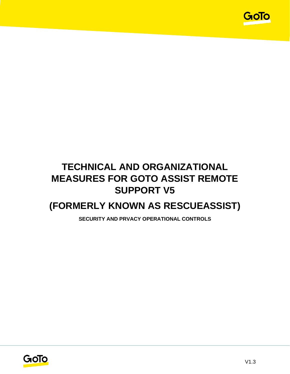

# **TECHNICAL AND ORGANIZATIONAL MEASURES FOR GOTO ASSIST REMOTE SUPPORT V5**

# **(FORMERLY KNOWN AS RESCUEASSIST)**

**SECURITY AND PRVACY OPERATIONAL CONTROLS**

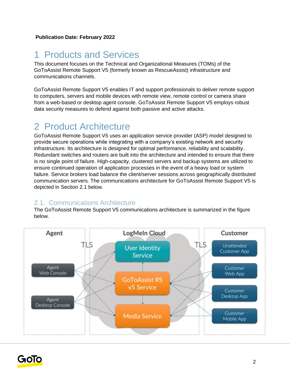# 1 Products and Services

This document focuses on the Technical and Organizational Measures (TOMs) of the GoToAssist Remote Support V5 (formerly known as RescueAssist) infrastructure and communications channels.

GoToAssist Remote Support V5 enables IT and support professionals to deliver remote support to computers, servers and mobile devices with remote view, remote control or camera share from a web-based or desktop agent console. GoToAssist Remote Support V5 employs robust data security measures to defend against both passive and active attacks.

# 2 Product Architecture

GoToAssist Remote Support V5 uses an application service provider (ASP) model designed to provide secure operations while integrating with a company's existing network and security infrastructure. Its architecture is designed for optimal performance, reliability and scalability. Redundant switches and routers are built into the architecture and intended to ensure that there is no single point of failure. High-capacity, clustered servers and backup systems are utilized to ensure continued operation of application processes in the event of a heavy load or system failure. Service brokers load balance the client/server sessions across geographically distributed communication servers. The communications architecture for GoToAssist Remote Support V5 is depicted in Section 2.1 below.

### 2.1. Communications Architecture

The GoToAssist Remote Support V5 communications architecture is summarized in the figure below.



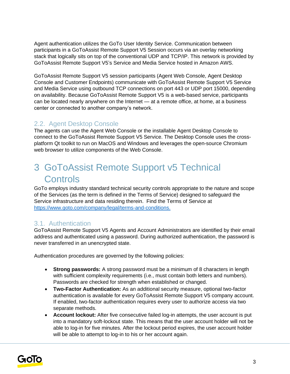Agent authentication utilizes the GoTo User Identity Service. Communication between participants in a GoToAssist Remote Support V5 Session occurs via an overlay networking stack that logically sits on top of the conventional UDP and TCP/IP. This network is provided by GoToAssist Remote Support V5's Service and Media Service hosted in Amazon AWS.

GoToAssist Remote Support V5 session participants (Agent Web Console, Agent Desktop Console and Customer Endpoints) communicate with GoToAssist Remote Support V5 Service and Media Service using outbound TCP connections on port 443 or UDP port 15000, depending on availability. Because GoToAssist Remote Support V5 is a web-based service, participants can be located nearly anywhere on the Internet — at a remote office, at home, at a business center or connected to another company's network.

### 2.2. Agent Desktop Console

The agents can use the Agent Web Console or the installable Agent Desktop Console to connect to the GoToAssist Remote Support V5 Service. The Desktop Console uses the crossplatform Qt toolkit to run on MacOS and Windows and leverages the open-source Chromium web browser to utilize components of the Web Console.

# 3 GoToAssist Remote Support v5 Technical **Controls**

GoTo employs industry standard technical security controls appropriate to the nature and scope of the Services (as the term is defined in the Terms of Service) designed to safeguard the Service infrastructure and data residing therein. Find the Terms of Service a[t](http://www.logmein.com/legal/terms-and-conditions) [https://www.goto.com/company/legal/terms-and-conditions.](https://www.goto.com/company/legal/terms-and-conditions)

### 3.1. Authentication

GoToAssist Remote Support V5 Agents and Account Administrators are identified by their email address and authenticated using a password. During authorized authentication, the password is never transferred in an unencrypted state.

Authentication procedures are governed by the following policies:

- **Strong passwords:** A strong password must be a minimum of 8 characters in length with sufficient complexity requirements (i.e., must contain both letters and numbers). Passwords are checked for strength when established or changed.
- **Two-Factor Authentication:** As an additional security measure, optional two-factor authentication is available for every GoToAssist Remote Support V5 company account. If enabled, two-factor authentication requires every user to authorize access via two separate methods.
- **Account lockout:** After five consecutive failed log-in attempts, the user account is put into a mandatory soft-lockout state. This means that the user account holder will not be able to log-in for five minutes. After the lockout period expires, the user account holder will be able to attempt to log-in to his or her account again.

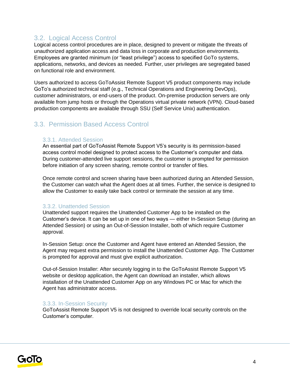## 3.2. Logical Access Control

Logical access control procedures are in place, designed to prevent or mitigate the threats of unauthorized application access and data loss in corporate and production environments. Employees are granted minimum (or "least privilege") access to specified GoTo systems, applications, networks, and devices as needed. Further, user privileges are segregated based on functional role and environment.

Users authorized to access GoToAssist Remote Support V5 product components may include GoTo's authorized technical staff (e.g., Technical Operations and Engineering DevOps), customer administrators, or end-users of the product. On-premise production servers are only available from jump hosts or through the Operations virtual private network (VPN). Cloud-based production components are available through SSU (Self Service Unix) authentication.

## 3.3. Permission Based Access Control

#### 3.3.1. Attended Session

An essential part of GoToAssist Remote Support V5's security is its permission-based access control model designed to protect access to the Customer's computer and data. During customer-attended live support sessions, the customer is prompted for permission before initiation of any screen sharing, remote control or transfer of files.

Once remote control and screen sharing have been authorized during an Attended Session, the Customer can watch what the Agent does at all times. Further, the service is designed to allow the Customer to easily take back control or terminate the session at any time.

#### 3.3.2. Unattended Session

Unattended support requires the Unattended Customer App to be installed on the Customer's device. It can be set up in one of two ways — either In-Session Setup (during an Attended Session) or using an Out-of-Session Installer, both of which require Customer approval.

In-Session Setup: once the Customer and Agent have entered an Attended Session, the Agent may request extra permission to install the Unattended Customer App. The Customer is prompted for approval and must give explicit authorization.

Out-of-Session Installer: After securely logging in to the GoToAssist Remote Support V5 website or desktop application, the Agent can download an installer, which allows installation of the Unattended Customer App on any Windows PC or Mac for which the Agent has administrator access.

#### 3.3.3. In-Session Security

GoToAssist Remote Support V5 is not designed to override local security controls on the Customer's computer.

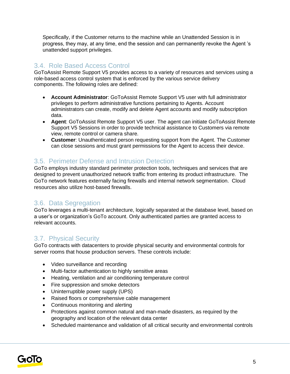Specifically, if the Customer returns to the machine while an Unattended Session is in progress, they may, at any time, end the session and can permanently revoke the Agent 's unattended support privileges.

## 3.4. Role Based Access Control

GoToAssist Remote Support V5 provides access to a variety of resources and services using a role-based access control system that is enforced by the various service delivery components. The following roles are defined:

- **Account Administrator**: GoToAssist Remote Support V5 user with full administrator privileges to perform administrative functions pertaining to Agents. Account administrators can create, modify and delete Agent accounts and modify subscription data.
- **Agent**: GoToAssist Remote Support V5 user. The agent can initiate GoToAssist Remote Support V5 Sessions in order to provide technical assistance to Customers via remote view, remote control or camera share.
- **Customer**: Unauthenticated person requesting support from the Agent. The Customer can close sessions and must grant permissions for the Agent to access their device.

## 3.5. Perimeter Defense and Intrusion Detection

GoTo employs industry standard perimeter protection tools, techniques and services that are designed to prevent unauthorized network traffic from entering its product infrastructure. The GoTo network features externally facing firewalls and internal network segmentation. Cloud resources also utilize host-based firewalls.

## 3.6. Data Segregation

GoTo leverages a multi-tenant architecture, logically separated at the database level, based on a user's or organization's GoTo account. Only authenticated parties are granted access to relevant accounts.

## 3.7. Physical Security

GoTo contracts with datacenters to provide physical security and environmental controls for server rooms that house production servers. These controls include:

- Video surveillance and recording
- Multi-factor authentication to highly sensitive areas
- Heating, ventilation and air conditioning temperature control
- Fire suppression and smoke detectors
- Uninterruptible power supply (UPS)
- Raised floors or comprehensive cable management
- Continuous monitoring and alerting
- Protections against common natural and man-made disasters, as required by the geography and location of the relevant data center
- Scheduled maintenance and validation of all critical security and environmental controls

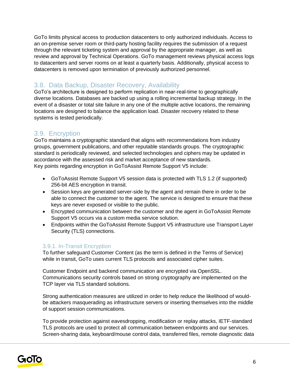GoTo limits physical access to production datacenters to only authorized individuals. Access to an on-premise server room or third-party hosting facility requires the submission of a request through the relevant ticketing system and approval by the appropriate manager, as well as review and approval by Technical Operations. GoTo management reviews physical access logs to datacenters and server rooms on at least a quarterly basis. Additionally, physical access to datacenters is removed upon termination of previously authorized personnel.

## 3.8. Data Backup, Disaster Recovery, Availability

GoTo's architecture is designed to perform replication in near-real-time to geographically diverse locations. Databases are backed up using a rolling incremental backup strategy. In the event of a disaster or total site failure in any one of the multiple active locations, the remaining locations are designed to balance the application load. Disaster recovery related to these systems is tested periodically.

## 3.9. Encryption

GoTo maintains a cryptographic standard that aligns with recommendations from industry groups, government publications, and other reputable standards groups. The cryptographic standard is periodically reviewed, and selected technologies and ciphers may be updated in accordance with the assessed risk and market acceptance of new standards. Key points regarding encryption in GoToAssist Remote Support V5 include:

- GoToAssist Remote Support V5 session data is protected with TLS 1.2 (if supported) 256-bit AES encryption in transit.
- Session keys are generated server-side by the agent and remain there in order to be able to connect the customer to the agent. The service is designed to ensure that these keys are never exposed or visible to the public.
- Encrypted communication between the customer and the agent in GoToAssist Remote Support V5 occurs via a custom media service solution.
- Endpoints within the GoToAssist Remote Support V5 infrastructure use Transport Layer Security (TLS) connections.

### 3.9.1. In-Transit Encryption

To further safeguard Customer Content (as the term is defined in the Terms of Service) while in transit, GoTo uses current TLS protocols and associated cipher suites.

Customer Endpoint and backend communication are encrypted via OpenSSL. Communications security controls based on strong cryptography are implemented on the TCP layer via TLS standard solutions.

Strong authentication measures are utilized in order to help reduce the likelihood of wouldbe attackers masquerading as infrastructure servers or inserting themselves into the middle of support session communications.

To provide protection against eavesdropping, modification or replay attacks, IETF-standard TLS protocols are used to protect all communication between endpoints and our services. Screen-sharing data, keyboard/mouse control data, transferred files, remote diagnostic data

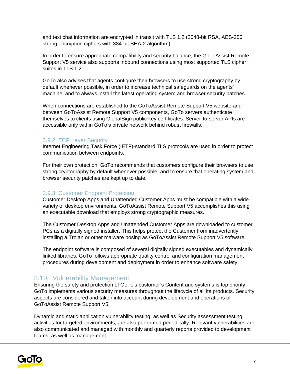and text chat information are encrypted in transit with TLS 1.2 (2048-bit RSA, AES-256 strong encryption ciphers with 384-bit SHA-2 algorithm).

In order to ensure appropriate compatibility and security balance, the GoToAssist Remote Support V5 service also supports inbound connections using most supported TLS cipher suites in TLS 1.2.

GoTo also advises that agents configure their browsers to use strong cryptography by default whenever possible, in order to increase technical safeguards on the agents' machine, and to always install the latest operating system and browser security patches.

When connections are established to the GoToAssist Remote Support V5 website and between GoToAssist Remote Support V5 components, GoTo servers authenticate themselves to clients using GlobalSign public key certificates. Server-to-server APIs are accessible only within GoTo's private network behind robust firewalls.

#### 3.9.2. TCP Layer Security

Internet Engineering Task Force (IETF)-standard TLS protocols are used in order to protect communication between endpoints.

For their own protection, GoTo recommends that customers configure their browsers to use strong cryptography by default whenever possible, and to ensure that operating system and browser security patches are kept up to date.

#### 3.9.3. Customer Endpoint Protection

Customer Desktop Apps and Unattended Customer Apps must be compatible with a wide variety of desktop environments. GoToAssist Remote Support V5 accomplishes this using an executable download that employs strong cryptographic measures.

The Customer Desktop Apps and Unattended Customer Apps are downloaded to customer PCs as a digitally signed installer. This helps protect the Customer from inadvertently installing a Trojan or other malware posing as GoToAssist Remote Support V5 software.

The endpoint software is composed of several digitally signed executables and dynamically linked libraries. GoTo follows appropriate quality control and configuration management procedures during development and deployment in order to enhance software safety.

### 3.10. Vulnerability Management

Ensuring the safety and protection of GoTo's customer's Content and systems is top priority. GoTo implements various security measures throughout the lifecycle of all its products. Security aspects are considered and taken into account during development and operations of GoToAssist Remote Support V5.

Dynamic and static application vulnerability testing, as well as Security assessment testing activities for targeted environments, are also performed periodically. Relevant vulnerabilities are also communicated and managed with monthly and quarterly reports provided to development teams, as well as management.

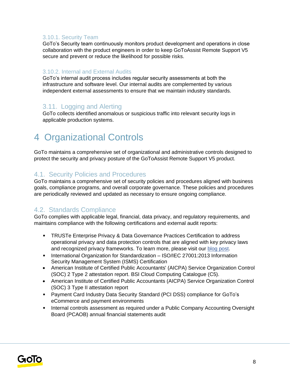#### 3.10.1. Security Team

GoTo's Security team continuously monitors product development and operations in close collaboration with the product engineers in order to keep GoToAssist Remote Support V5 secure and prevent or reduce the likelihood for possible risks.

#### 3.10.2. Internal and External Audits

GoTo's internal audit process includes regular security assessments at both the infrastructure and software level. Our internal audits are complemented by various independent external assessments to ensure that we maintain industry standards.

## 3.11. Logging and Alerting

GoTo collects identified anomalous or suspicious traffic into relevant security logs in applicable production systems.

# 4 Organizational Controls

GoTo maintains a comprehensive set of organizational and administrative controls designed to protect the security and privacy posture of the GoToAssist Remote Support V5 product.

### 4.1. Security Policies and Procedures

GoTo maintains a comprehensive set of security policies and procedures aligned with business goals, compliance programs, and overall corporate governance. These policies and procedures are periodically reviewed and updated as necessary to ensure ongoing compliance.

## 4.2. Standards Compliance

GoTo complies with applicable legal, financial, data privacy, and regulatory requirements, and maintains compliance with the following certifications and external audit reports:

- TRUSTe Enterprise Privacy & Data Governance Practices Certification to address operational privacy and data protection controls that are aligned with key privacy laws and recognized privacy frameworks. To learn more, please visit ou[r](https://blog.logmeininc.com/logmein-furthers-commitment-to-data-privacy-with-truste-enterprise-privacy-certification-seal/?lang=en) [blog post](https://www.goto.com/blog/logmein-furthers-commitment-to-data-privacy-with-truste-enterprise-privacy-certification-seal)[.](https://blog.logmeininc.com/logmein-furthers-commitment-to-data-privacy-with-truste-enterprise-privacy-certification-seal/?lang=en)
- International Organization for Standardization ISO/IEC 27001:2013 Information Security Management System (ISMS) Certification
- American Institute of Certified Public Accountants' (AICPA) Service Organization Control (SOC) 2 Type 2 attestation report. BSI Cloud Computing Catalogue (C5).
- American Institute of Certified Public Accountants (AICPA) Service Organization Control (SOC) 3 Type II attestation report
- Payment Card Industry Data Security Standard (PCI DSS) compliance for GoTo's eCommerce and payment environments
- Internal controls assessment as required under a Public Company Accounting Oversight Board (PCAOB) annual financial statements audit

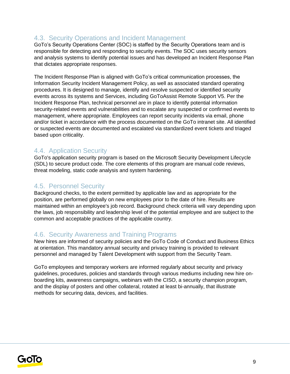## 4.3. Security Operations and Incident Management

GoTo's Security Operations Center (SOC) is staffed by the Security Operations team and is responsible for detecting and responding to security events. The SOC uses security sensors and analysis systems to identify potential issues and has developed an Incident Response Plan that dictates appropriate responses.

The Incident Response Plan is aligned with GoTo's critical communication processes, the Information Security Incident Management Policy, as well as associated standard operating procedures. It is designed to manage, identify and resolve suspected or identified security events across its systems and Services, including GoToAssist Remote Support V5. Per the Incident Response Plan, technical personnel are in place to identify potential information security-related events and vulnerabilities and to escalate any suspected or confirmed events to management, where appropriate. Employees can report security incidents via email, phone and/or ticket in accordance with the process documented on the GoTo intranet site. All identified or suspected events are documented and escalated via standardized event tickets and triaged based upon criticality.

### 4.4. Application Security

GoTo's application security program is based on the Microsoft Security Development Lifecycle (SDL) to secure product code. The core elements of this program are manual code reviews, threat modeling, static code analysis and system hardening.

### 4.5. Personnel Security

Background checks, to the extent permitted by applicable law and as appropriate for the position, are performed globally on new employees prior to the date of hire. Results are maintained within an employee's job record. Background check criteria will vary depending upon the laws, job responsibility and leadership level of the potential employee and are subject to the common and acceptable practices of the applicable country.

### 4.6. Security Awareness and Training Programs

New hires are informed of security policies and the GoTo Code of Conduct and Business Ethics at orientation. This mandatory annual security and privacy training is provided to relevant personnel and managed by Talent Development with support from the Security Team.

GoTo employees and temporary workers are informed regularly about security and privacy guidelines, procedures, policies and standards through various mediums including new hire onboarding kits, awareness campaigns, webinars with the CISO, a security champion program, and the display of posters and other collateral, rotated at least bi-annually, that illustrate methods for securing data, devices, and facilities.

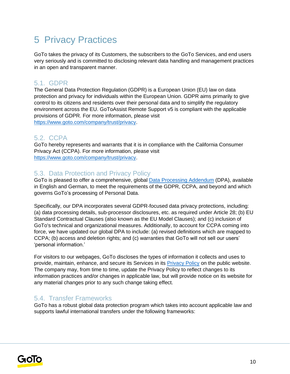# 5 Privacy Practices

GoTo takes the privacy of its Customers, the subscribers to the GoTo Services, and end users very seriously and is committed to disclosing relevant data handling and management practices in an open and transparent manner.

### 5.1. GDPR

The General Data Protection Regulation (GDPR) is a European Union (EU) law on data protection and privacy for individuals within the European Union. GDPR aims primarily to give control to its citizens and residents over their personal data and to simplify the regulatory environment across the EU. GoToAssist Remote Support v5 is compliant with the applicable provisions of GDPR. For more information, please visit [https://www.goto.com/company/trust/privacy.](https://www.goto.com/company/trust/privacy)

## 5.2. CCPA

GoTo hereby represents and warrants that it is in compliance with the California Consumer Privacy Act (CCPA). For more information, please visit [https://www.goto.com/company/trust/privacy.](https://www.goto.com/company/trust/privacy)

## 5.3. Data Protection and Privacy Policy

GoTo is pleased to offer a comprehensive, global [Data Processing Addendum](https://www.goto.com/company/legal) (DPA), available in [English](https://www.docusign.net/Member/PowerFormSigning.aspx?PowerFormId=87db4c61-3929-4ccb-ab58-b202e064c4a1) and [German,](https://www.docusign.net/Member/PowerFormSigning.aspx?PowerFormId=29541afa-3cf0-4d7c-90f8-e971a0866b8e&env=na1) to meet the requirements of the GDPR, CCPA, and beyond and which governs GoTo's processing of Personal Data.

Specifically, our DPA incorporates several GDPR-focused data privacy protections, including: (a) data processing details, sub-processor disclosures, etc. as required under Article 28; (b) EU Standard Contractual Clauses (also known as the EU Model Clauses); and (c) inclusion of GoTo's technical and organizational measures. Additionally, to account for CCPA coming into force, we have updated our global DPA to include: (a) revised definitions which are mapped to CCPA; (b) access and deletion rights; and (c) warranties that GoTo will not sell our users' 'personal information.'

For visitors to our webpages, GoTo discloses the types of information it collects and uses to provide, maintain, enhance, and secure its Services in its [Privacy Policy](https://www.goto.com/company/legal/privacy) on the public website. The company may, from time to time, update the Privacy Policy to reflect changes to its information practices and/or changes in applicable law, but will provide notice on its website for any material changes prior to any such change taking effect.

## 5.4. Transfer Frameworks

GoTo has a robust global data protection program which takes into account applicable law and supports lawful international transfers under the following frameworks:

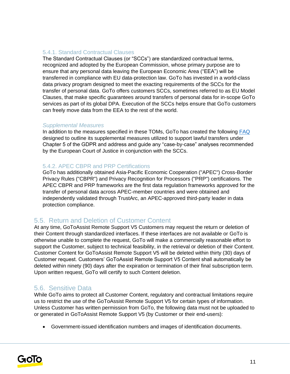#### 5.4.1. Standard Contractual Clauses

The Standard Contractual Clauses (or "SCCs") are standardized contractual terms, recognized and adopted by the European Commission, whose primary purpose are to ensure that any personal data leaving the European Economic Area ("EEA") will be transferred in compliance with EU data-protection law. GoTo has invested in a world-class data privacy program designed to meet the exacting requirements of the SCCs for the transfer of personal data. GoTo offers customers SCCs, sometimes referred to as EU Model Clauses, that make specific guarantees around transfers of personal data for in-scope GoTo services as part of its global DPA. Execution of the SCCs helps ensure that GoTo customers can freely move data from the EEA to the rest of the world.

#### *Supplemental Measures*

In addition to the measures specified in these TOMs, GoTo has created the following [FAQ](https://logmeincdn.azureedge.net/legal/international-data-transfers-faq.pdf) designed to outline its supplemental measures utilized to support lawful transfers under Chapter 5 of the GDPR and address and guide any "case-by-case" analyses recommended by the European Court of Justice in conjunction with the SCCs.

#### 5.4.2. APEC CBPR and PRP Certifications

GoTo has additionally obtained Asia-Pacific Economic Cooperation ("APEC") Cross-Border Privacy Rules ("CBPR") and Privacy Recognition for Processors ("PRP") certifications. The APEC CBPR and PRP frameworks are the first data regulation frameworks approved for the transfer of personal data across APEC-member countries and were obtained and independently validated through TrustArc, an APEC-approved third-party leader in data protection compliance.

### 5.5. Return and Deletion of Customer Content

At any time, GoToAssist Remote Support V5 Customers may request the return or deletion of their Content through standardized interfaces. If these interfaces are not available or GoTo is otherwise unable to complete the request, GoTo will make a commercially reasonable effort to support the Customer, subject to technical feasibility, in the retrieval or deletion of their Content. Customer Content for GoToAssist Remote Support V5 will be deleted within thirty (30) days of Customer request. Customers' GoToAssist Remote Support V5 Content shall automatically be deleted within ninety (90) days after the expiration or termination of their final subscription term. Upon written request, GoTo will certify to such Content deletion.

### 5.6. Sensitive Data

While GoTo aims to protect all Customer Content, regulatory and contractual limitations require us to restrict the use of the GoToAssist Remote Support V5 for certain types of information. Unless Customer has written permission from GoTo, the following data must not be uploaded to or generated in GoToAssist Remote Support V5 (by Customer or their end-users):

• Government-issued identification numbers and images of identification documents.

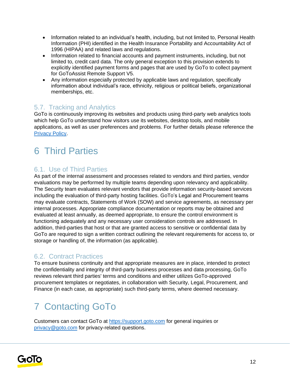- Information related to an individual's health, including, but not limited to, Personal Health Information (PHI) identified in the Health Insurance Portability and Accountability Act of 1996 (HIPAA) and related laws and regulations.
- Information related to financial accounts and payment instruments, including, but not limited to, credit card data. The only general exception to this provision extends to explicitly identified payment forms and pages that are used by GoTo to collect payment for GoToAssist Remote Support V5.
- Any information especially protected by applicable laws and regulation, specifically information about individual's race, ethnicity, religious or political beliefs, organizational memberships, etc.

## 5.7. Tracking and Analytics

GoTo is continuously improving its websites and products using third-party web analytics tools which help GoTo understand how visitors use its websites, desktop tools, and mobile applications, as well as user preferences and problems. For further details please reference the [Privacy Policy](https://www.goto.com/company/legal/privacy)[.](https://www.logmein.com/legal/privacy)

# 6 Third Parties

## 6.1. Use of Third Parties

As part of the internal assessment and processes related to vendors and third parties, vendor evaluations may be performed by multiple teams depending upon relevancy and applicability. The Security team evaluates relevant vendors that provide information security-based services including the evaluation of third-party hosting facilities. GoTo's Legal and Procurement teams may evaluate contracts, Statements of Work (SOW) and service agreements, as necessary per internal processes. Appropriate compliance documentation or reports may be obtained and evaluated at least annually, as deemed appropriate, to ensure the control environment is functioning adequately and any necessary user consideration controls are addressed. In addition, third-parties that host or that are granted access to sensitive or confidential data by GoTo are required to sign a written contract outlining the relevant requirements for access to, or storage or handling of, the information (as applicable).

## 6.2. Contract Practices

To ensure business continuity and that appropriate measures are in place, intended to protect the confidentiality and integrity of third-party business processes and data processing, GoTo reviews relevant third parties' terms and conditions and either utilizes GoTo-approved procurement templates or negotiates, in collaboration with Security, Legal, Procurement, and Finance (in each case, as appropriate) such third-party terms, where deemed necessary.

# 7 Contacting GoTo

Customers can contact GoTo at [https://support.goto.com](https://support.goto.com/) [f](https://support.logmeininc.com/)or general inquiries or privacy@goto.com for privacy-related questions.

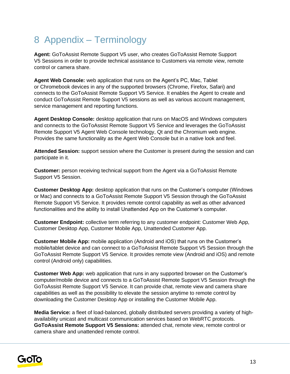# 8 Appendix – Terminology

**Agent:** GoToAssist Remote Support V5 user, who creates GoToAssist Remote Support V5 Sessions in order to provide technical assistance to Customers via remote view, remote control or camera share.

**Agent Web Console:** web application that runs on the Agent's PC, Mac, Tablet or Chromebook devices in any of the supported browsers (Chrome, Firefox, Safari) and connects to the GoToAssist Remote Support V5 Service. It enables the Agent to create and conduct GoToAssist Remote Support V5 sessions as well as various account management, service management and reporting functions.

**Agent Desktop Console:** desktop application that runs on MacOS and Windows computers and connects to the GoToAssist Remote Support V5 Service and leverages the GoToAssist Remote Support V5 Agent Web Console technology, Qt and the Chromium web engine. Provides the same functionality as the Agent Web Console but in a native look and feel.

**Attended Session:** support session where the Customer is present during the session and can participate in it.

**Customer:** person receiving technical support from the Agent via a GoToAssist Remote Support V5 Session.

**Customer Desktop App:** desktop application that runs on the Customer's computer (Windows or Mac) and connects to a GoToAssist Remote Support V5 Session through the GoToAssist Remote Support V5 Service. It provides remote control capability as well as other advanced functionalities and the ability to install Unattended App on the Customer's computer.

**Customer Endpoint:** collective term referring to any customer endpoint: Customer Web App, Customer Desktop App, Customer Mobile App, Unattended Customer App.

**Customer Mobile App:** mobile application (Android and iOS) that runs on the Customer's mobile/tablet device and can connect to a GoToAssist Remote Support V5 Session through the GoToAssist Remote Support V5 Service. It provides remote view (Android and iOS) and remote control (Android only) capabilities.

**Customer Web App:** web application that runs in any supported browser on the Customer's computer/mobile device and connects to a GoToAssist Remote Support V5 Session through the GoToAssist Remote Support V5 Service. It can provide chat, remote view and camera share capabilities as well as the possibility to elevate the session anytime to remote control by downloading the Customer Desktop App or installing the Customer Mobile App.

**Media Service:** a fleet of load-balanced, globally distributed servers providing a variety of highavailability unicast and multicast communication services based on WebRTC protocols. **GoToAssist Remote Support V5 Sessions:** attended chat, remote view, remote control or camera share and unattended remote control.